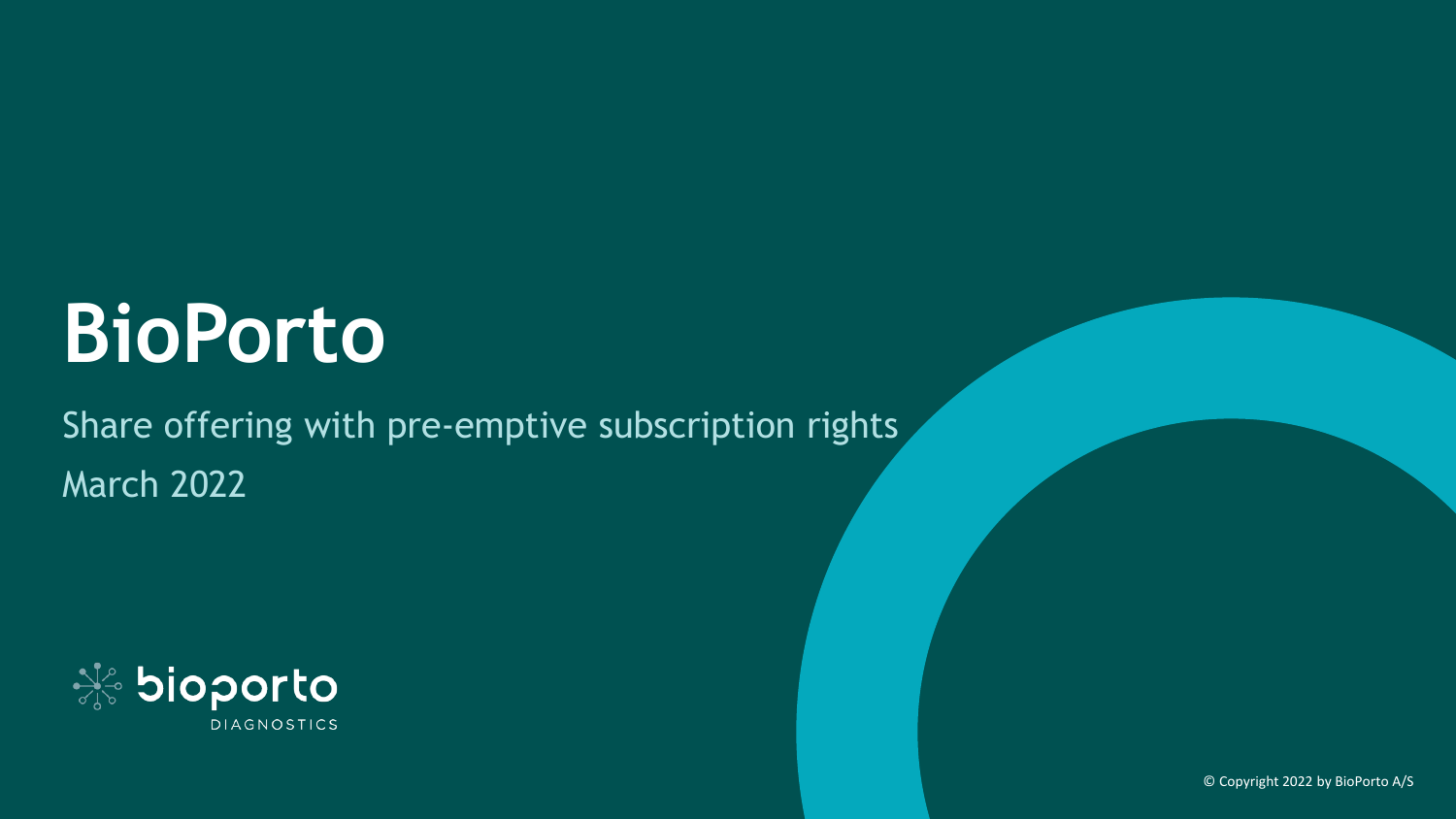# **BioPorto**

Share offering with pre-emptive subscription rights March 2022

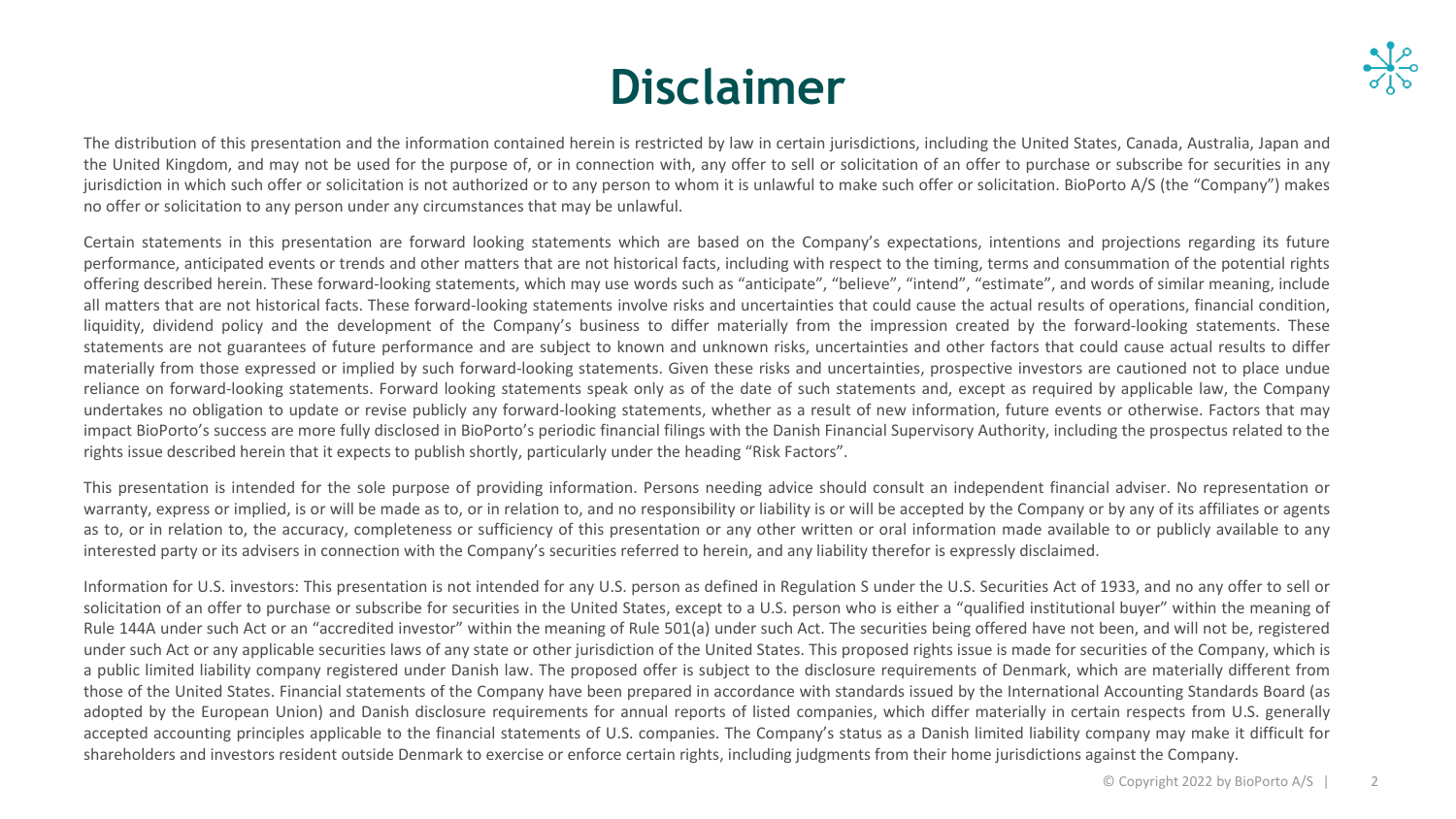## **Disclaimer**

The distribution of this presentation and the information contained herein is restricted by law in certain jurisdictions, including the United States, Canada, Australia, Japan and the United Kingdom, and may not be used for the purpose of, or in connection with, any offer to sell or solicitation of an offer to purchase or subscribe for securities in any jurisdiction in which such offer or solicitation is not authorized or to any person to whom it is unlawful to make such offer or solicitation. BioPorto A/S (the "Company") makes no offer or solicitation to any person under any circumstances that may be unlawful.

Certain statements in this presentation are forward looking statements which are based on the Company's expectations, intentions and projections regarding its future performance, anticipated events or trends and other matters that are not historical facts, including with respect to the timing, terms and consummation of the potential rights offering described herein. These forward-looking statements, which may use words such as "anticipate", "believe", "intend", "estimate", and words of similar meaning, include all matters that are not historical facts. These forward-looking statements involve risks and uncertainties that could cause the actual results of operations, financial condition, liquidity, dividend policy and the development of the Company's business to differ materially from the impression created by the forward-looking statements. These statements are not guarantees of future performance and are subject to known and unknown risks, uncertainties and other factors that could cause actual results to differ materially from those expressed or implied by such forward-looking statements. Given these risks and uncertainties, prospective investors are cautioned not to place undue reliance on forward-looking statements. Forward looking statements speak only as of the date of such statements and, except as required by applicable law, the Company undertakes no obligation to update or revise publicly any forward-looking statements, whether as a result of new information, future events or otherwise. Factors that may impact BioPorto's success are more fully disclosed in BioPorto's periodic financial filings with the Danish Financial Supervisory Authority, including the prospectus related to the rights issue described herein that it expects to publish shortly, particularly under the heading "Risk Factors".

This presentation is intended for the sole purpose of providing information. Persons needing advice should consult an independent financial adviser. No representation or warranty, express or implied, is or will be made as to, or in relation to, and no responsibility or liability is or will be accepted by the Company or by any of its affiliates or agents as to, or in relation to, the accuracy, completeness or sufficiency of this presentation or any other written or oral information made available to or publicly available to any interested party or its advisers in connection with the Company's securities referred to herein, and any liability therefor is expressly disclaimed.

Information for U.S. investors: This presentation is not intended for any U.S. person as defined in Regulation S under the U.S. Securities Act of 1933, and no any offer to sell or solicitation of an offer to purchase or subscribe for securities in the United States, except to a U.S. person who is either a "qualified institutional buyer" within the meaning of Rule 144A under such Act or an "accredited investor" within the meaning of Rule 501(a) under such Act. The securities being offered have not been, and will not be, registered under such Act or any applicable securities laws of any state or other jurisdiction of the United States. This proposed rights issue is made for securities of the Company, which is a public limited liability company registered under Danish law. The proposed offer is subject to the disclosure requirements of Denmark, which are materially different from those of the United States. Financial statements of the Company have been prepared in accordance with standards issued by the International Accounting Standards Board (as adopted by the European Union) and Danish disclosure requirements for annual reports of listed companies, which differ materially in certain respects from U.S. generally accepted accounting principles applicable to the financial statements of U.S. companies. The Company's status as a Danish limited liability company may make it difficult for shareholders and investors resident outside Denmark to exercise or enforce certain rights, including judgments from their home jurisdictions against the Company.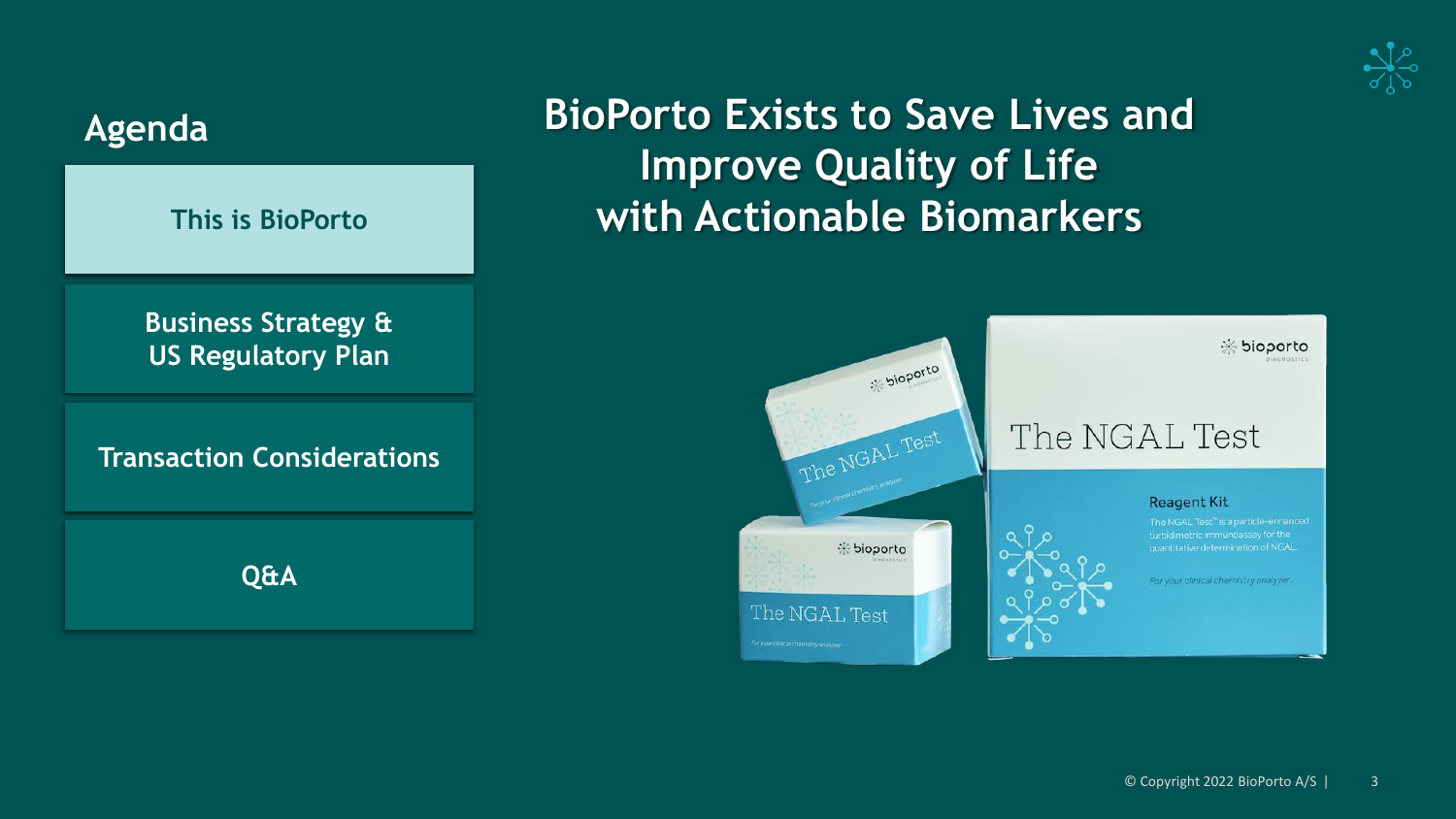



For your clinical chemistry analyzer.

### **BioPorto Exists to Save Lives and Improve Quality of Life with Actionable Biomarkers**

bioporto

The NGAL Test

\* bioporto

The NGAL Test

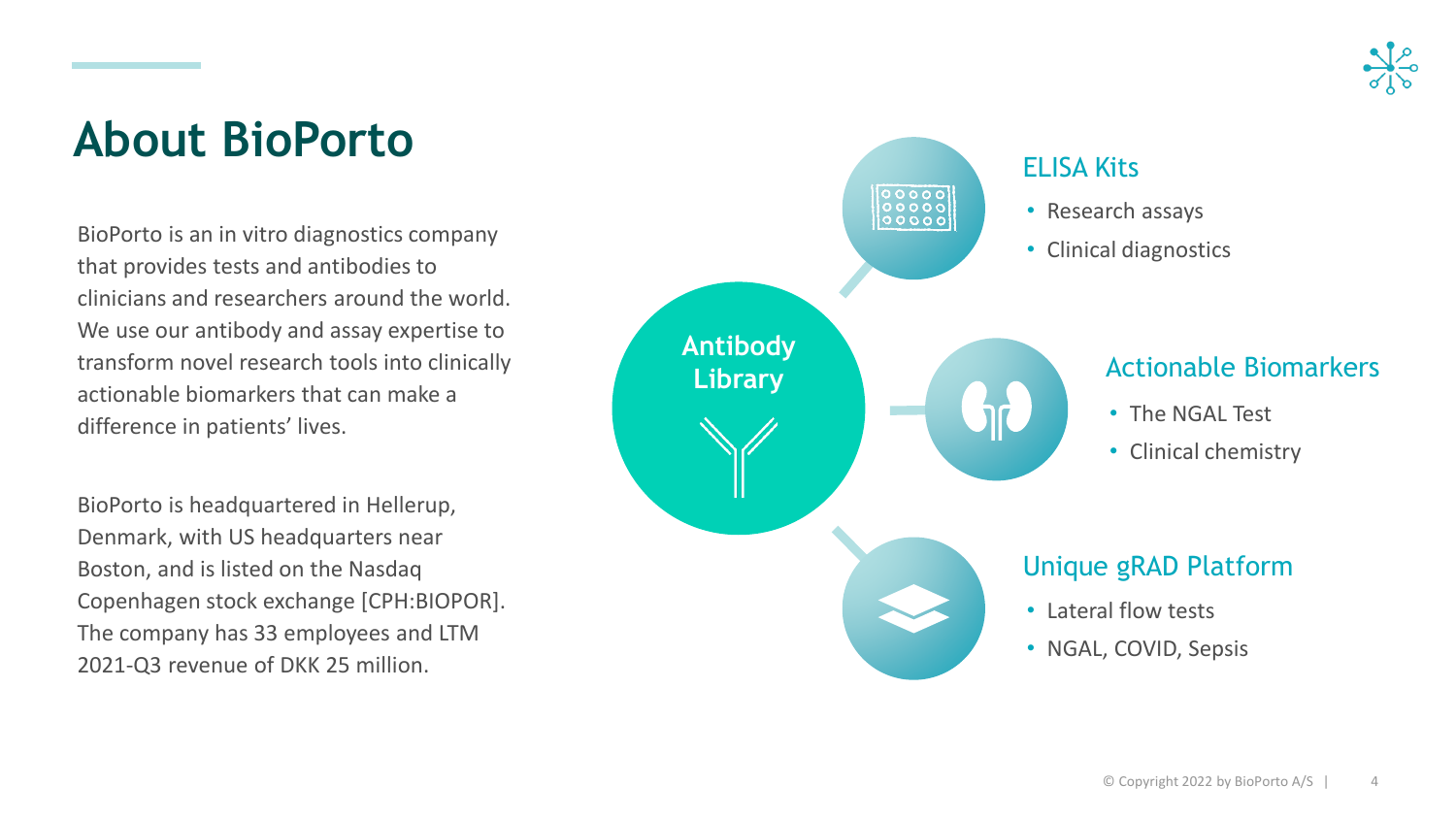

### **About BioPorto**

BioPorto is an in vitro diagnostics company that provides tests and antibodies to clinicians and researchers around the world. We use our antibody and assay expertise to transform novel research tools into clinically actionable biomarkers that can make a difference in patients' lives.

BioPorto is headquartered in Hellerup, Denmark, with US headquarters near Boston, and is listed on the Nasdaq Copenhagen stock exchange [CPH:BIOPOR]. The company has 33 employees and LTM 2021-Q3 revenue of DKK 25 million.

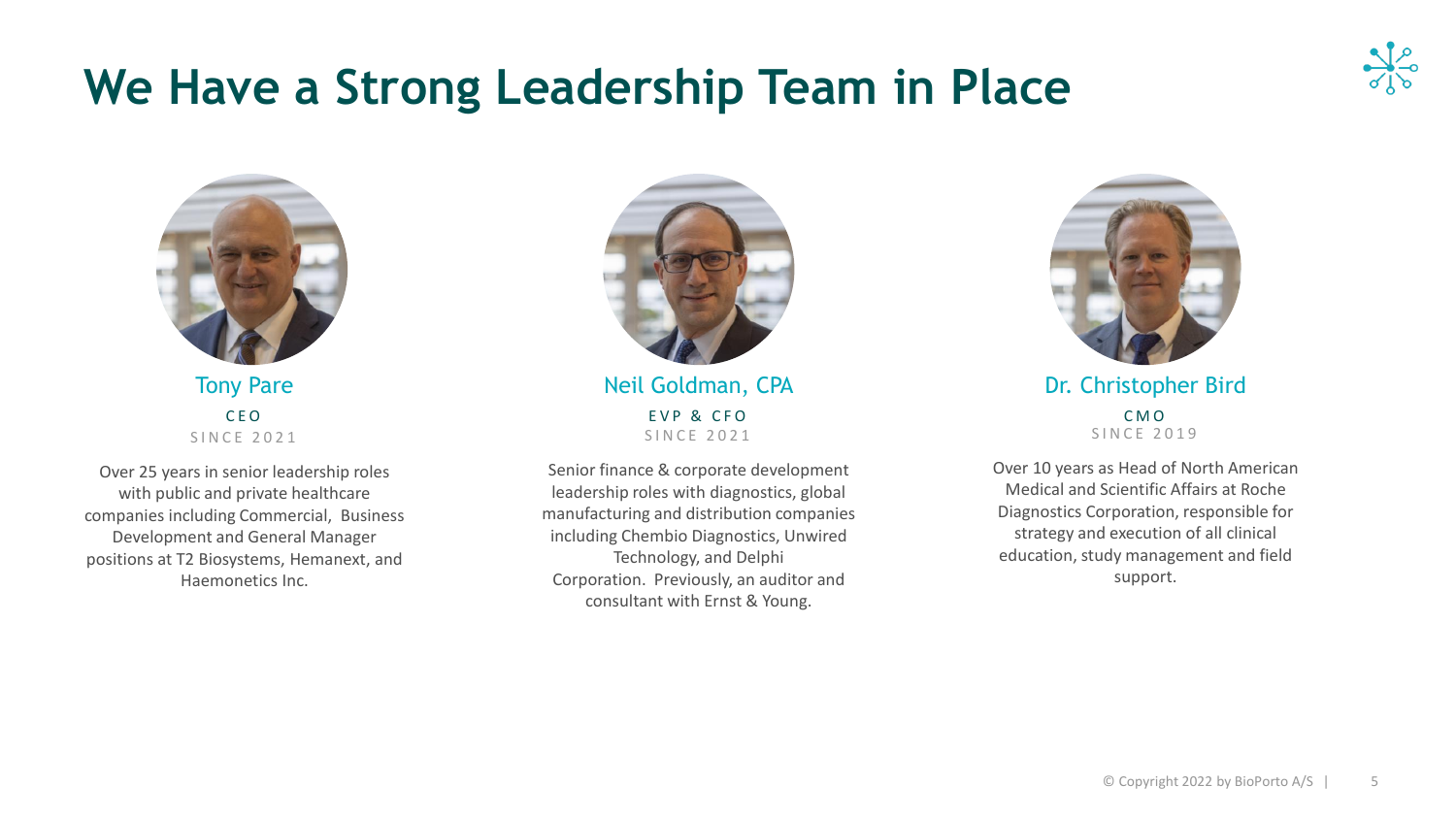## **We Have a Strong Leadership Team in Place**



Tony Pare C E O S I N C E 2 0 2 1

Over 25 years in senior leadership roles with public and private healthcare companies including Commercial, Business Development and General Manager positions at T2 Biosystems, Hemanext, and Haemonetics Inc.



Neil Goldman, CPA EVP & CFO SINCE 2021

Senior finance & corporate development leadership roles with diagnostics, global manufacturing and distribution companies including Chembio Diagnostics, Unwired Technology, and Delphi Corporation. Previously, an auditor and consultant with Ernst & Young.



Dr. Christopher Bird C M O S IN C E 2019

Over 10 years as Head of North American Medical and Scientific Affairs at Roche Diagnostics Corporation, responsible for strategy and execution of all clinical education, study management and field support.

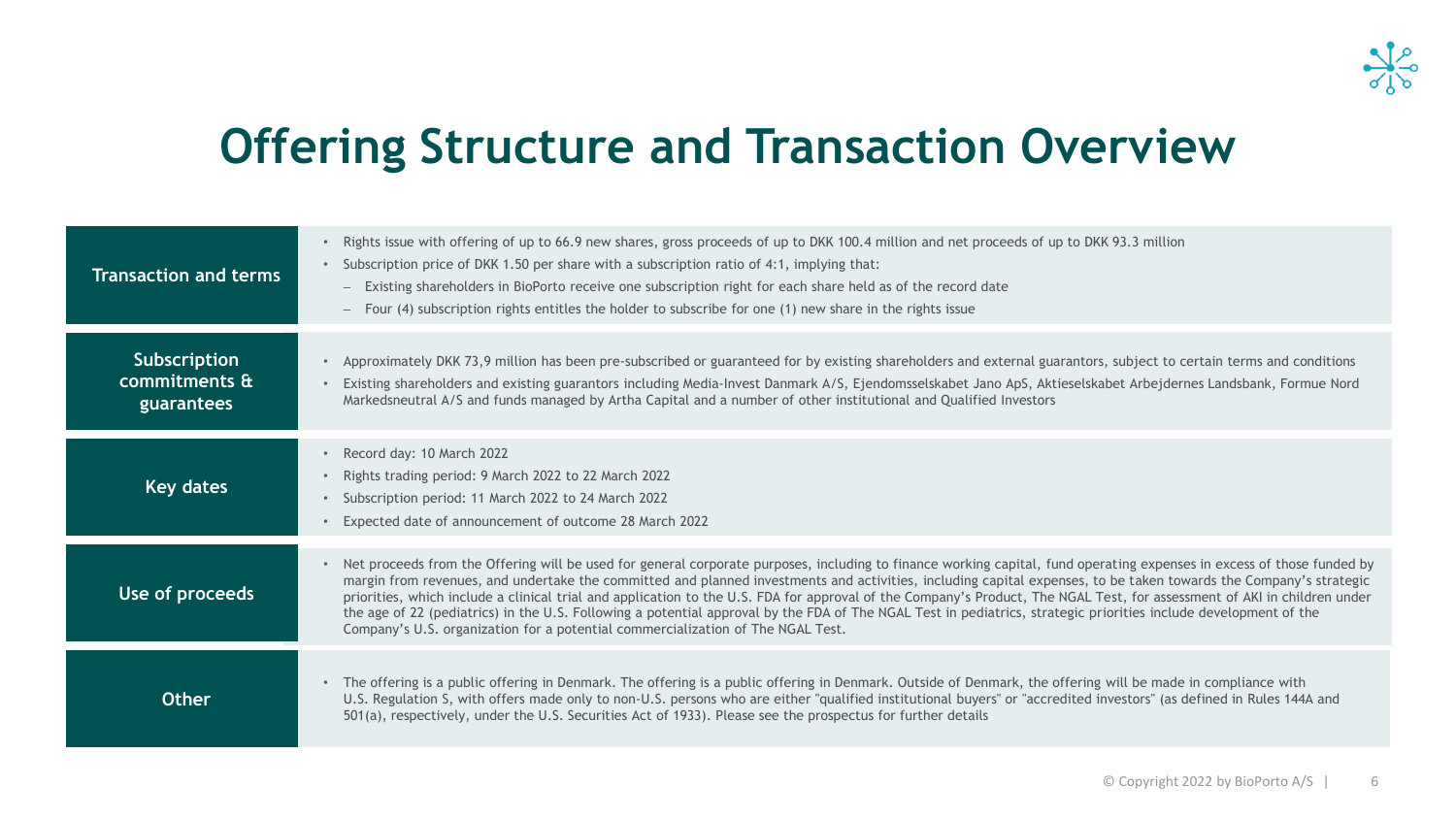

## **Offering Structure and Transaction Overview**

| <b>Transaction and terms</b>                | Rights issue with offering of up to 66.9 new shares, gross proceeds of up to DKK 100.4 million and net proceeds of up to DKK 93.3 million<br>$\bullet$<br>• Subscription price of DKK 1.50 per share with a subscription ratio of 4:1, implying that:<br>Existing shareholders in BioPorto receive one subscription right for each share held as of the record date<br>$\qquad \qquad -$<br>Four (4) subscription rights entitles the holder to subscribe for one (1) new share in the rights issue                                                                                                                                                                                                                                                                              |
|---------------------------------------------|----------------------------------------------------------------------------------------------------------------------------------------------------------------------------------------------------------------------------------------------------------------------------------------------------------------------------------------------------------------------------------------------------------------------------------------------------------------------------------------------------------------------------------------------------------------------------------------------------------------------------------------------------------------------------------------------------------------------------------------------------------------------------------|
| Subscription<br>commitments &<br>guarantees | Approximately DKK 73,9 million has been pre-subscribed or guaranteed for by existing shareholders and external guarantors, subject to certain terms and conditions<br>$\bullet$<br>Existing shareholders and existing guarantors including Media-Invest Danmark A/S, Ejendomsselskabet Jano ApS, Aktieselskabet Arbejdernes Landsbank, Formue Nord<br>$\bullet$<br>Markedsneutral A/S and funds managed by Artha Capital and a number of other institutional and Qualified Investors                                                                                                                                                                                                                                                                                             |
| Key dates                                   | Record day: 10 March 2022<br>$\bullet$<br>Rights trading period: 9 March 2022 to 22 March 2022<br>$\bullet$<br>Subscription period: 11 March 2022 to 24 March 2022<br>$\bullet$<br>Expected date of announcement of outcome 28 March 2022                                                                                                                                                                                                                                                                                                                                                                                                                                                                                                                                        |
| Use of proceeds                             | • Net proceeds from the Offering will be used for general corporate purposes, including to finance working capital, fund operating expenses in excess of those funded by<br>margin from revenues, and undertake the committed and planned investments and activities, including capital expenses, to be taken towards the Company's strategic<br>priorities, which include a clinical trial and application to the U.S. FDA for approval of the Company's Product, The NGAL Test, for assessment of AKI in children under<br>the age of 22 (pediatrics) in the U.S. Following a potential approval by the FDA of The NGAL Test in pediatrics, strategic priorities include development of the<br>Company's U.S. organization for a potential commercialization of The NGAL Test. |
| <b>Other</b>                                | The offering is a public offering in Denmark. The offering is a public offering in Denmark. Outside of Denmark, the offering will be made in compliance with<br>$\bullet$<br>U.S. Regulation S, with offers made only to non-U.S. persons who are either "qualified institutional buyers" or "accredited investors" (as defined in Rules 144A and<br>501(a), respectively, under the U.S. Securities Act of 1933). Please see the prospectus for further details                                                                                                                                                                                                                                                                                                                 |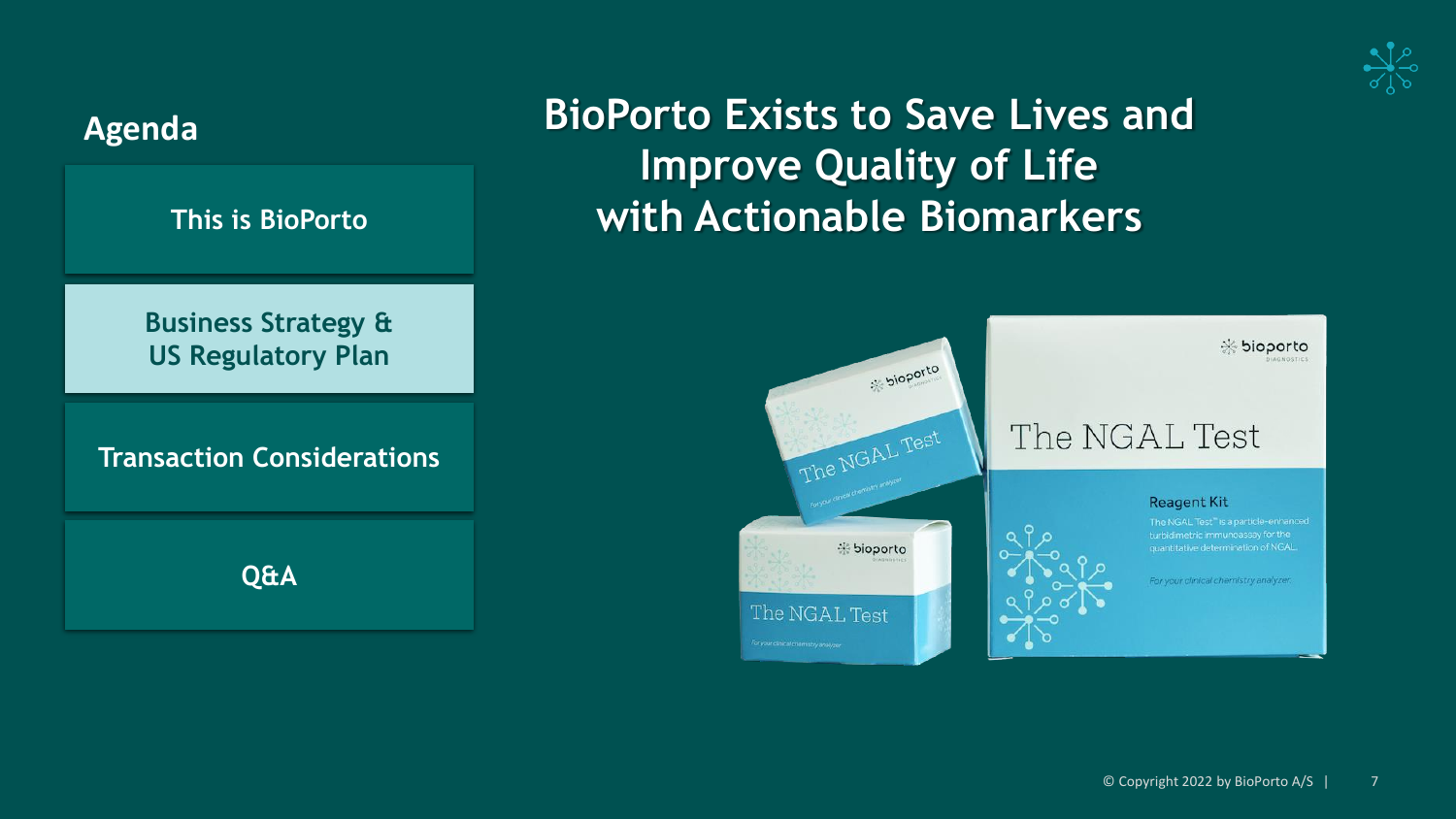



#### © Copyright 2022 by BioPorto A/S | 7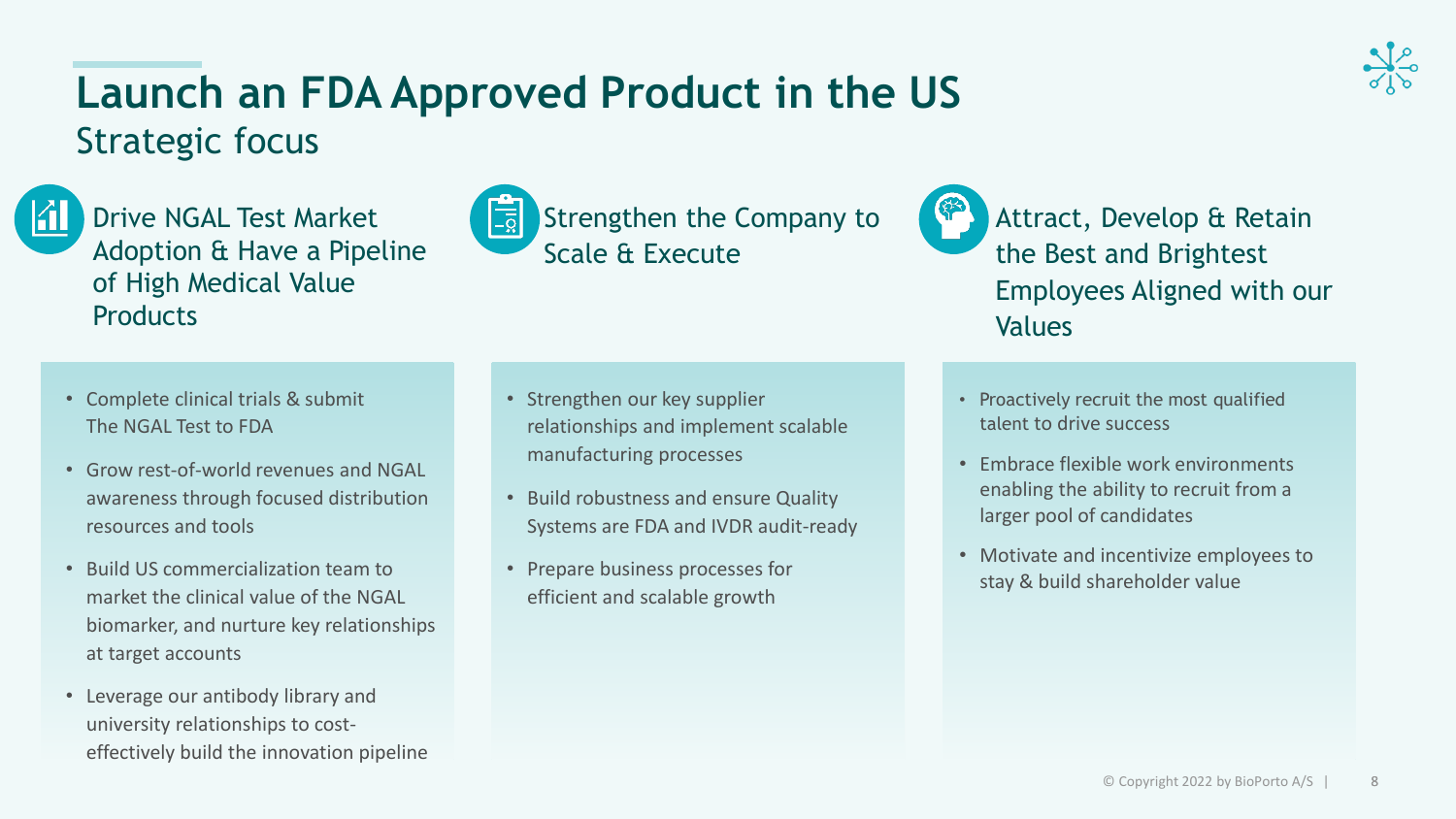# **Launch an FDA Approved Product in the US**





Drive NGAL Test Market Adoption & Have a Pipeline of High Medical Value **Products** 



Attract, Develop & Retain the Best and Brightest Employees Aligned with our Values

- Complete clinical trials & submit The NGAL Test to FDA
- Grow rest-of-world revenues and NGAL awareness through focused distribution resources and tools
- Build US commercialization team to market the clinical value of the NGAL biomarker, and nurture key relationships at target accounts
- Leverage our antibody library and university relationships to costeffectively build the innovation pipeline
- Strengthen our key supplier relationships and implement scalable manufacturing processes
- Build robustness and ensure Quality Systems are FDA and IVDR audit-ready
- Prepare business processes for efficient and scalable growth
- Proactively recruit the most qualified talent to drive success
- Embrace flexible work environments enabling the ability to recruit from a larger pool of candidates
- Motivate and incentivize employees to stay & build shareholder value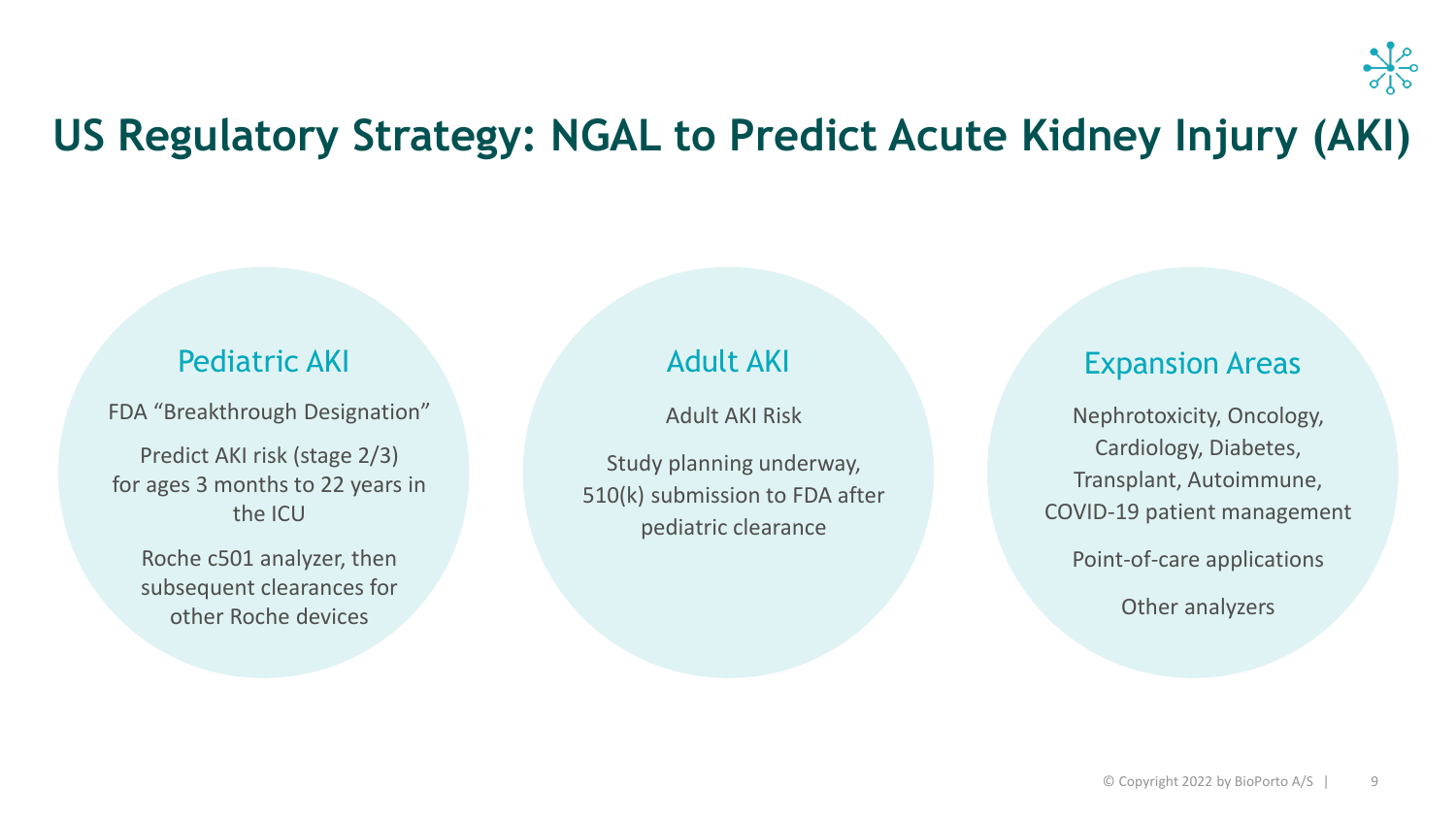

### **US Regulatory Strategy: NGAL to Predict Acute Kidney Injury (AKI)**

#### Pediatric AKI

FDA "Breakthrough Designation"

Predict AKI risk (stage 2/3) for ages 3 months to 22 years in the ICU

Roche c501 analyzer, then subsequent clearances for other Roche devices

### Adult AKI

Adult AKI Risk

Study planning underway, 510(k) submission to FDA after pediatric clearance

#### Expansion Areas

Nephrotoxicity, Oncology, Cardiology, Diabetes, Transplant, Autoimmune, COVID-19 patient management Point-of-care applications

Other analyzers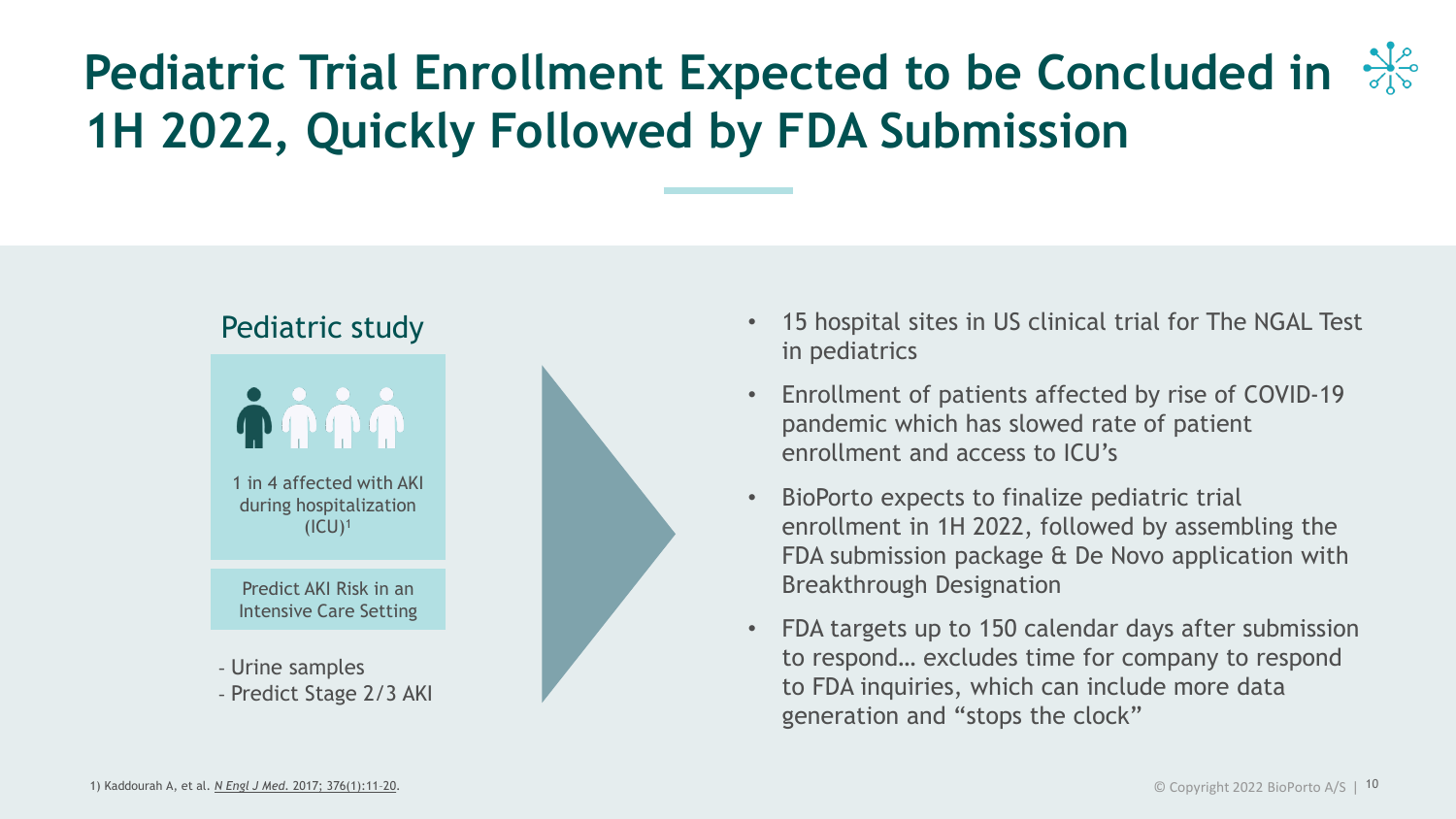# **Pediatric Trial Enrollment Expected to be Concluded in 1H 2022, Quickly Followed by FDA Submission**





- Urine samples
- Predict Stage 2/3 AKI



- 15 hospital sites in US clinical trial for The NGAL Test in pediatrics
- Enrollment of patients affected by rise of COVID-19 pandemic which has slowed rate of patient enrollment and access to ICU's
- BioPorto expects to finalize pediatric trial enrollment in 1H 2022, followed by assembling the FDA submission package & De Novo application with Breakthrough Designation
- FDA targets up to 150 calendar days after submission to respond… excludes time for company to respond to FDA inquiries, which can include more data generation and "stops the clock"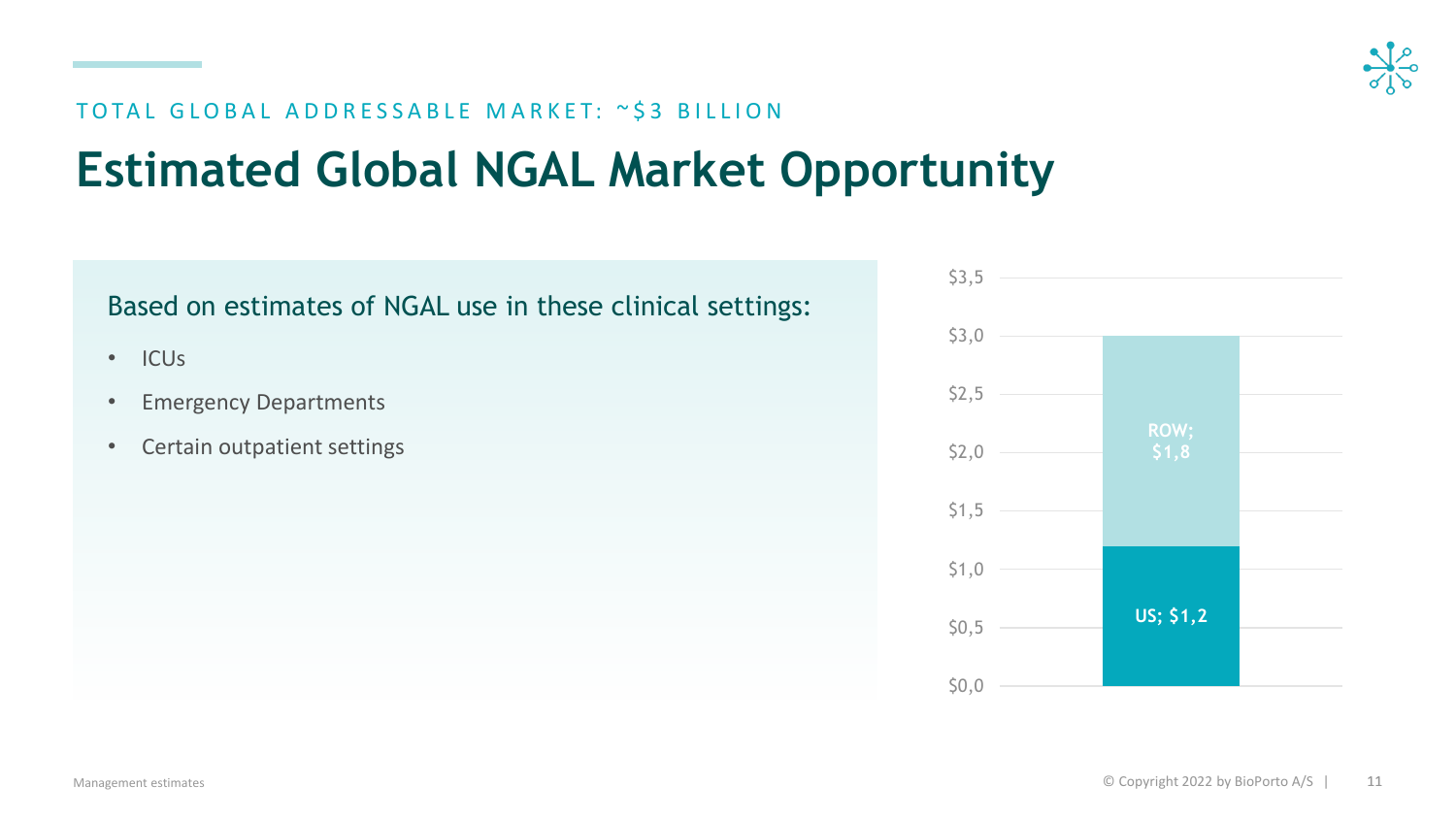

#### TOTAL GLOBAL ADDRESSABLE MARKET: ~\$3 BILLION

## **Estimated Global NGAL Market Opportunity**

Based on estimates of NGAL use in these clinical settings:

- ICUs
- Emergency Departments
- Certain outpatient settings

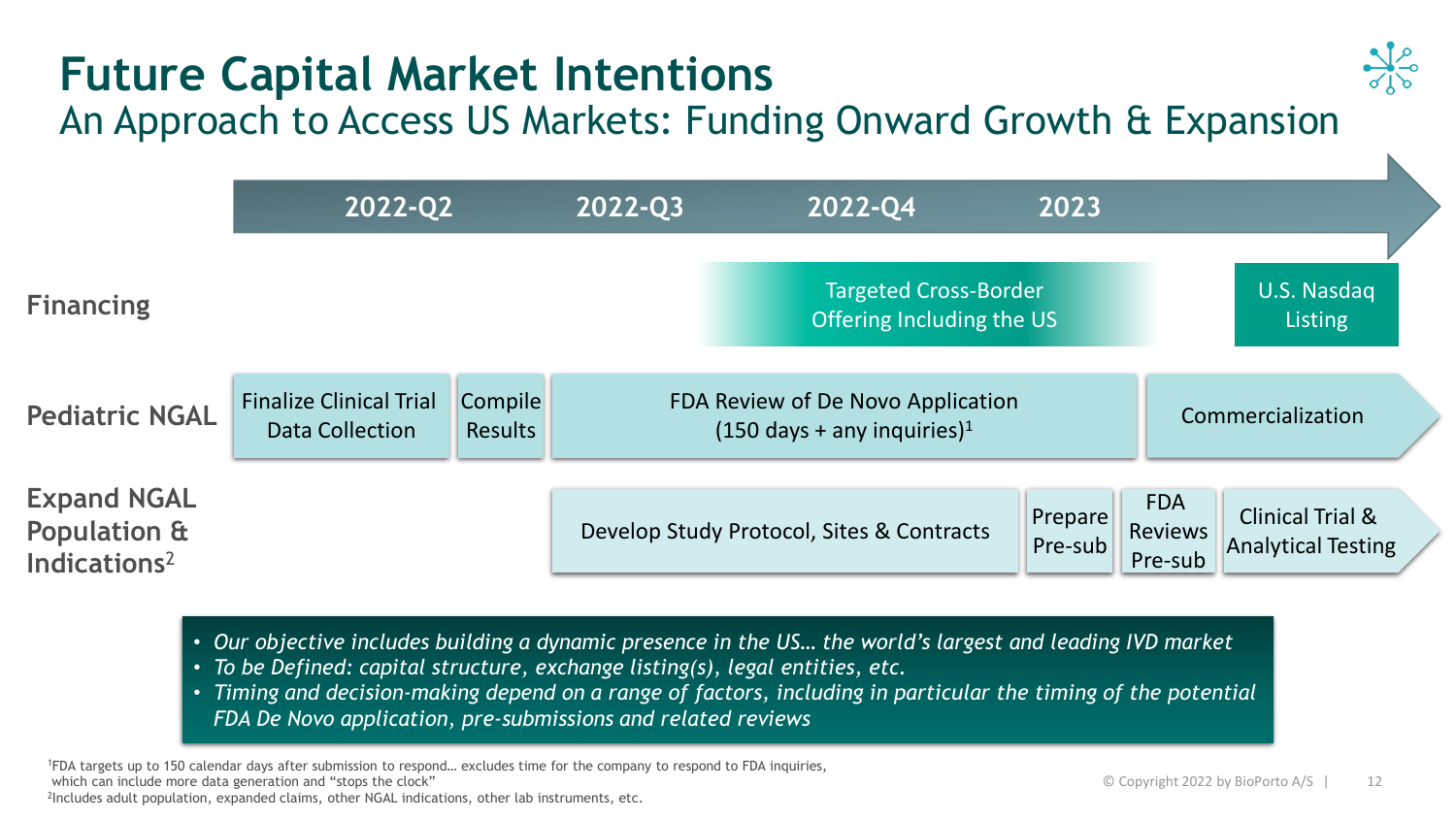# **Future Capital Market Intentions**



### An Approach to Access US Markets: Funding Onward Growth & Expansion

|                                                                           | 2022-Q2                                           |                                  | 2022-Q3                                                                         | 2022-Q4<br>2023                                           |                    |                                         |                                                          |  |
|---------------------------------------------------------------------------|---------------------------------------------------|----------------------------------|---------------------------------------------------------------------------------|-----------------------------------------------------------|--------------------|-----------------------------------------|----------------------------------------------------------|--|
| <b>Financing</b>                                                          |                                                   |                                  |                                                                                 | <b>Targeted Cross-Border</b><br>Offering Including the US |                    |                                         | U.S. Nasdaq<br>Listing                                   |  |
| <b>Pediatric NGAL</b>                                                     | <b>Finalize Clinical Trial</b><br>Data Collection | <b>Compile</b><br><b>Results</b> | FDA Review of De Novo Application<br>$(150 \text{ days} + \text{any}\text{ in}$ |                                                           |                    | Commercialization                       |                                                          |  |
| <b>Expand NGAL</b><br><b>Population &amp;</b><br>Indications <sup>2</sup> |                                                   |                                  |                                                                                 | Develop Study Protocol, Sites & Contracts                 | Prepare<br>Pre-sub | <b>FDA</b><br><b>Reviews</b><br>Pre-sub | <b>Clinical Trial &amp;</b><br><b>Analytical Testing</b> |  |

- *Our objective includes building a dynamic presence in the US… the world's largest and leading IVD market*
- *To be Defined: capital structure, exchange listing(s), legal entities, etc.*

• *Timing and decision-making depend on a range of factors, including in particular the timing of the potential FDA De Novo application, pre-submissions and related reviews*

<sup>1</sup>FDA targets up to 150 calendar days after submission to respond… excludes time for the company to respond to FDA inquiries, which can include more data generation and "stops the clock"

2 Includes adult population, expanded claims, other NGAL indications, other lab instruments, etc.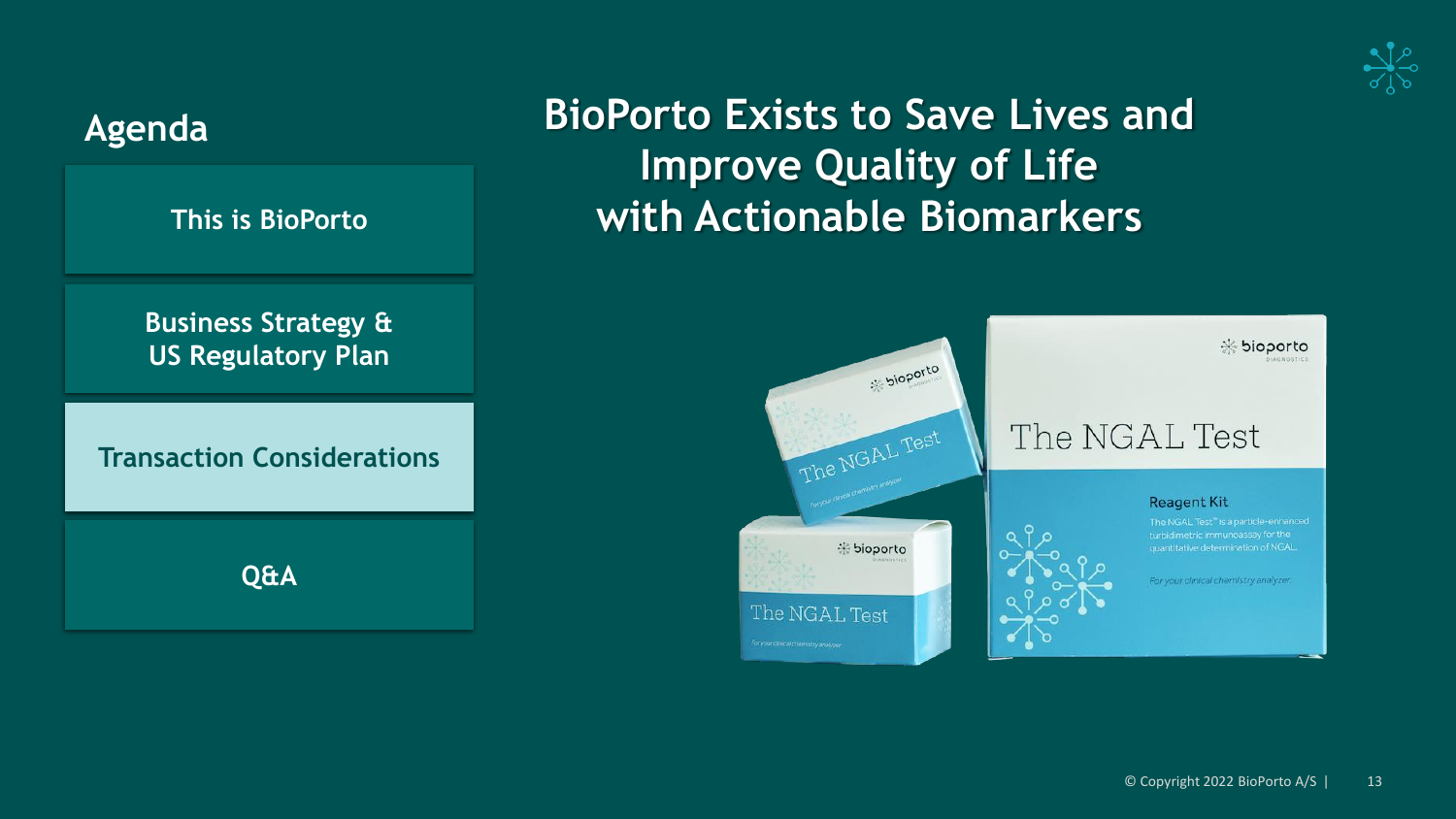



### **BioPorto Exists to Save Lives and Improve Quality of Life with Actionable Biomarkers**

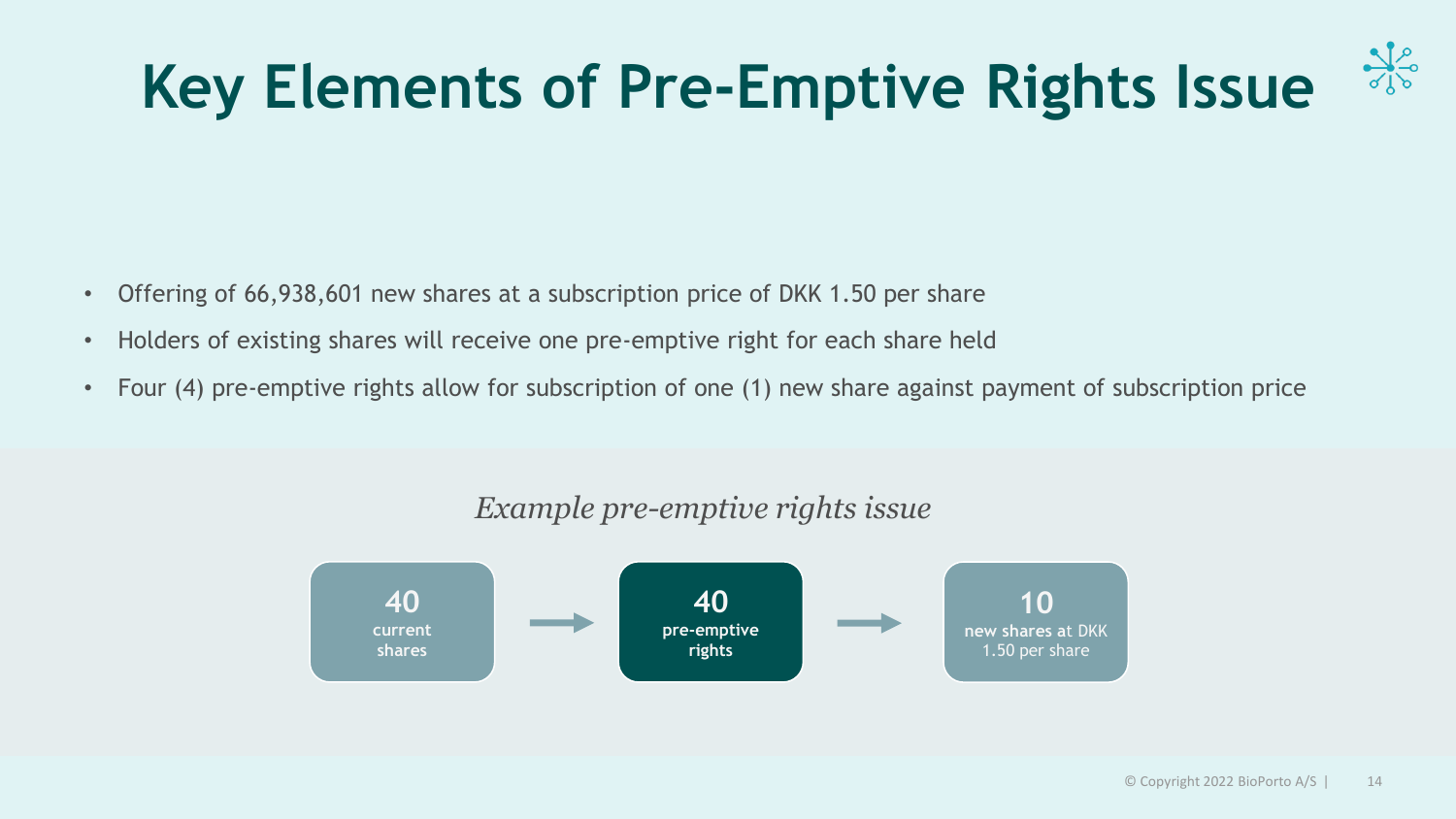# **Key Elements of Pre-Emptive Rights Issue**



- Offering of 66,938,601 new shares at a subscription price of DKK 1.50 per share
- Holders of existing shares will receive one pre-emptive right for each share held
- Four (4) pre-emptive rights allow for subscription of one (1) new share against payment of subscription price



### *Example pre-emptive rights issue*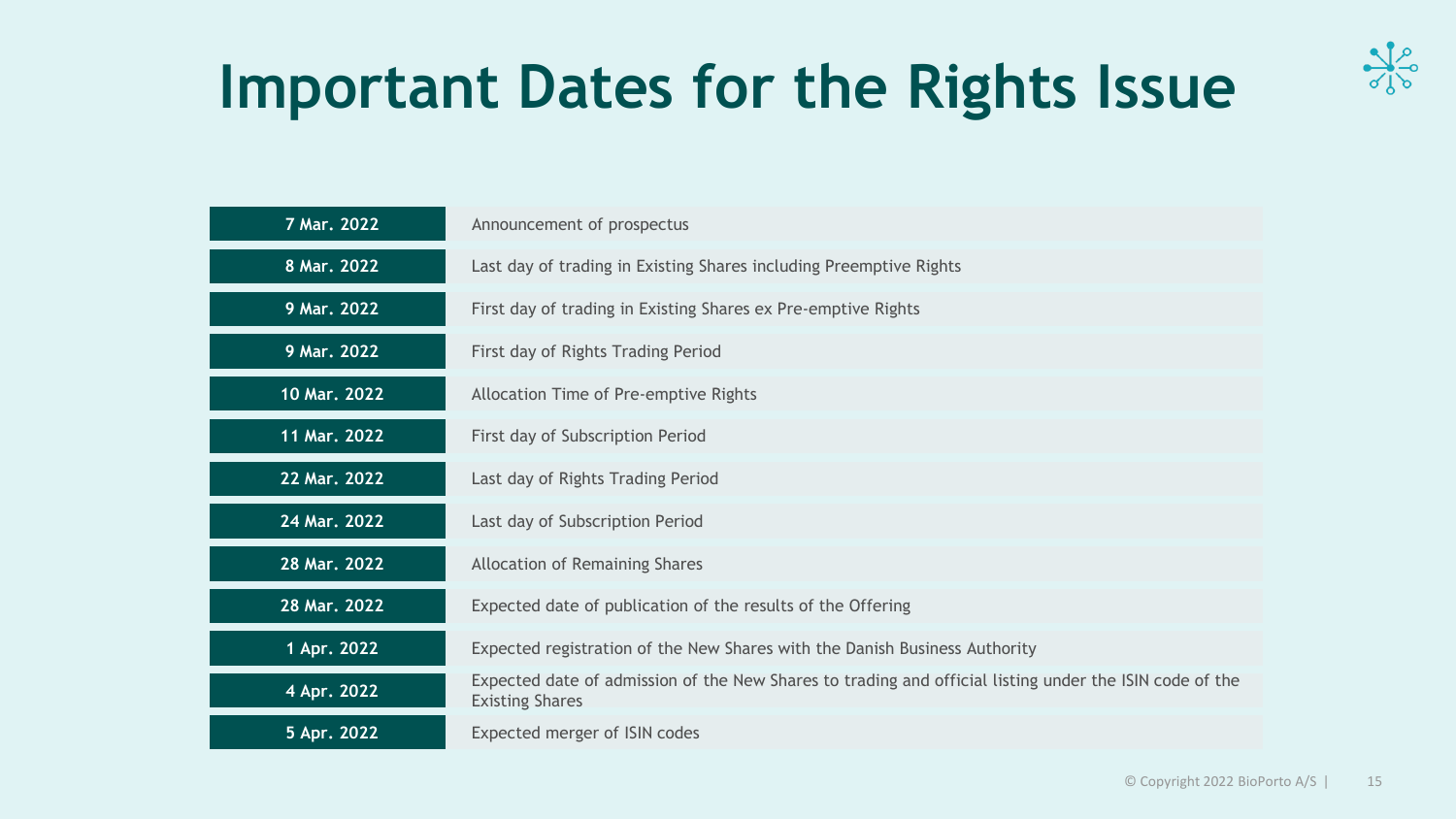

# **Important Dates for the Rights Issue**

| 7 Mar. 2022  | Announcement of prospectus                                                                                                        |
|--------------|-----------------------------------------------------------------------------------------------------------------------------------|
| 8 Mar. 2022  | Last day of trading in Existing Shares including Preemptive Rights                                                                |
| 9 Mar. 2022  | First day of trading in Existing Shares ex Pre-emptive Rights                                                                     |
| 9 Mar. 2022  | First day of Rights Trading Period                                                                                                |
| 10 Mar. 2022 | Allocation Time of Pre-emptive Rights                                                                                             |
| 11 Mar. 2022 | First day of Subscription Period                                                                                                  |
| 22 Mar. 2022 | Last day of Rights Trading Period                                                                                                 |
| 24 Mar. 2022 | Last day of Subscription Period                                                                                                   |
| 28 Mar. 2022 | Allocation of Remaining Shares                                                                                                    |
| 28 Mar. 2022 | Expected date of publication of the results of the Offering                                                                       |
| 1 Apr. 2022  | Expected registration of the New Shares with the Danish Business Authority                                                        |
| 4 Apr. 2022  | Expected date of admission of the New Shares to trading and official listing under the ISIN code of the<br><b>Existing Shares</b> |
| 5 Apr. 2022  | Expected merger of ISIN codes                                                                                                     |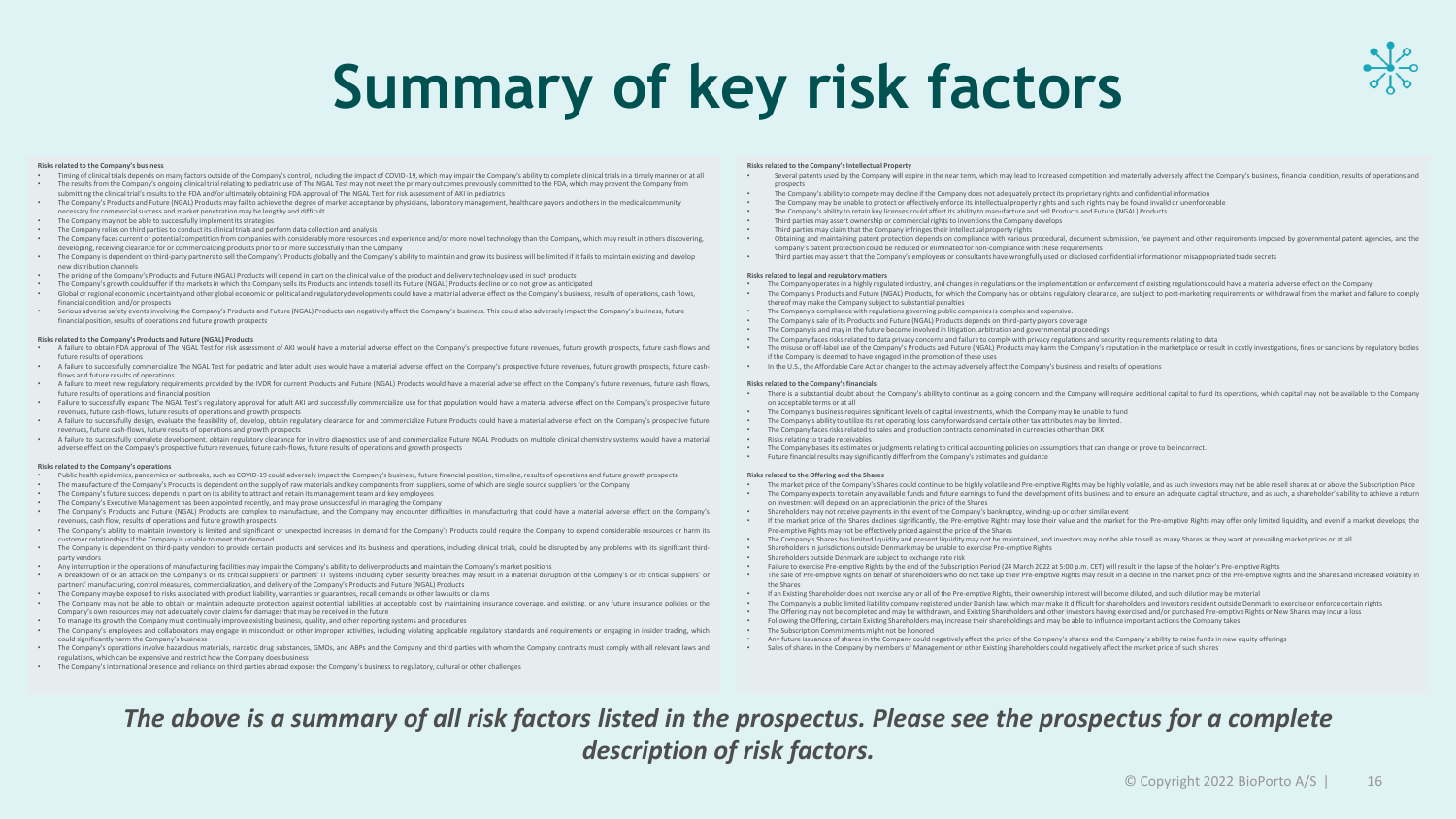# **Summary of key risk factors**

#### **Risks related to the Company's business**

- Timing of clinical trials depends on many factors outside of the Company's control, including the impact of COVID-19, which may impair the Company's ability to complete clinical trials in a timely manner or at all • The results from the Company's ongoing clinical trial relating to pediatric use of The NGAL Test may not meet the primary outcomes previously committed to the FDA, which may prevent the Company from
- submitting the clinical trial's results to the FDA and/or ultimately obtaining FDA approval of The NGAL Test for risk assessment of AKI in pediatrics • The Company's Products and Future (NGAL) Products may fail to achieve the degree of market acceptance by physicians, laboratory management, healthcare payors and others in the medical community
- necessary for commercial success and market penetration may be lengthy and difficult
- The Company may not be able to successfully implement its strategies
- The Company relies on third parties to conduct its clinical trials and perform data collection and analysis
- The Company faces current or potential competition from companies with considerably more resources and experience and/or more novel technology than the Company, which may result in others discovering, developing, receiving clearance for or commercializing products prior to or more successfully than the Company
- The Company is dependent on third-party partners to sell the Company's Products globally and the Company's ability to maintain and grow its business will be limited if it fails to maintain existing and develop new distribution channels
- The pricing of the Company's Products and Future (NGAL) Products will depend in part on the clinical value of the product and delivery technology used in such products
- The Company's growth could suffer if the markets in which the Company sells its Products and intends to sell its Future (NGAL) Products decline or do not grow as anticipated
- Global or regional economic uncertainty and other global economic or political and regulatory developments could have a material adverse effect on the Company's business, results of operations, cash flows, financial condition, and/or prospects
- Serious adverse safety events involving the Company's Products and Future (NGAL) Products can negatively affect the Company's business. This could also adversely impact the Company's business, future financial position, results of operations and future growth prospects

#### **Risks related to the Company's Products and Future (NGAL) Products**

- A failure to obtain FDA approval of The NGAL Test for risk assessment of AKI would have a material adverse effect on the Company's prospective future revenues, future growth prospects, future cash-flows and future results of operations
- A failure to successfully commercialize The NGAL Test for pediatric and later adult uses would have a material adverse effect on the Company's prospective future revenues, future growth prospects, future cashflows and future results of operations
- A failure to meet new regulatory requirements provided by the IVDR for current Products and Future (NGAL) Products would have a material adverse effect on the Company's future revenues, future cash flows, future results of operations and financial position
- Failure to successfully expand The NGAL Test's regulatory approval for adult AKI and successfully commercialize use for that population would have a material adverse effect on the Company's prospective future revenues, future cash-flows, future results of operations and growth prospects
- A failure to successfully design, evaluate the feasibility of, develop, obtain regulatory clearance for and commercialize Future Products could have a material adverse effect on the Company's prospective future revenues, future cash-flows, future results of operations and growth prospects
- A failure to successfully complete development, obtain regulatory clearance for in vitro diagnostics use of and commercialize Future NGAL Products on multiple clinical chemistry systems would have a material adverse effect on the Company's prospective future revenues, future cash-flows, future results of operations and growth prospects

#### **Risks related to the Company's operations**

- Public health epidemics, pandemics or outbreaks, such as COVID-19 could adversely impact the Company's business, future financial position, timeline, results of operations and future growth prospects
- The manufacture of the Company's Products is dependent on the supply of raw materials and key componentsfrom suppliers, some of which are single source suppliersfor the Company
- The Company's future success depends in part on its ability to attract and retain its managementteam and key employees
- The Company's Executive Management has been appointed recently, and may prove unsuccessful in managing the Company
- The Company's Products and Future (NGAL) Products are complex to manufacture, and the Company may encounter difficulties in manufacturing that could have a material adverse effect on the Company's revenues, cash flow, results of operations and future growth prospects
- The Company's ability to maintain inventory is limited and significant or unexpected increases in demand for the Company's Products could require the Company to expend considerable resources or harm its customer relationshipsif the Company is unable to meet that demand
- The Company is dependent on third-party vendors to provide certain products and services and its business and operations, including clinical trials, could be disrupted by any problems with its significant thirdparty vendors
- Any interruption in the operations of manufacturing facilities may impairthe Company's ability to deliver products and maintain the Company's market positions
- A breakdown of or an attack on the Company's or its critical suppliers' or partners' IT systems including cyber security breaches may result in a material disruption of the Company's or its critical suppliers' or partners' manufacturing, control measures, commercialization, and delivery of the Company's Products and Future (NGAL) Products
- The Company may be exposed to risks associated with product liability, warranties or guarantees, recall demands or other lawsuits or claims<br>The Company may not be able to obtain or maintain adequate protection against po
- The Company may not be able to obtain or maintain adequate protection against potential liabilities at acceptable cost by maintaining insurance coverage, and existing, or any future insurance policies or the Company's own resources may not adequately cover claimsfor damages that may be received in the future
- To manage its growth the Company must continually improve existing business, quality, and other reporting systems and procedures
- The Company's employees and collaborators may engage in misconduct or other improper activities, including violating applicable regulatory standards and requirements or engaging in insider trading, which could significantly harm the Company's business
- The Company's operations involve hazardous materials, narcotic drug substances, GMOs, and ABPs and the Company and third parties with whom the Company contracts must comply with all relevant laws and regulations, which can be expensive and restrict how the Company does business
- The Company's international presence and reliance on third parties abroad exposes the Company's business to regulatory, cultural or other challenges

#### **Risks related to the Company'sIntellectual Property**

- Several patents used by the Company will expire in the near term, which may lead to increased competition and materially adversely affect the Company's business, financial condition, results of operations and processets
- The Company's ability to compete may decline if the Company does not adequately protectits proprietary rights and confidential information
- The Company may be unable to protect or effectively enforce its intellectual property rights and such rights may be found invalid or unenforceable
- The Company's ability to retain key licenses could affect its ability to manufacture and sell Products and Future (NGAL) Products<br>Third parties may assert ownership or commercial rights to inventions the Company develops
- Third parties may assert ownership or commercial rights to inventions the Company develops
- Third parties may claim that the Company infringestheir intellectual property rights
- Obtaining and maintaining patent protection depends on compliance with various procedural, document submission, fee payment and other requirements imposed by governmental patent agencies, and the Company's patent protection could be reduced or eliminated for non-compliance with these requirements
- Third parties may assert that the Company's employees or consultants have wrongfully used or disclosed confidential information or misappropriated trade secrets

#### **Risks related to legal and regulatory matters**

- The Company operates in a highly regulated industry, and changes in regulations or the implementation or enforcement of existing regulations could have a material adverse effect on the Company
- The Company's Products and Future (NGAL) Products, for which the Company has or obtains regulatory clearance, are subject to post-marketing requirements or withdrawal from the market and failure to comply thereof may make the Company subject to substantial penalties
- The Company's compliance with regulations governing public companiesis complex and expensive.
- The Company's sale of its Products and Future (NGAL) Products depends on third-party payors coverage
- The Company is and may in the future become involved in litigation, arbitration and governmental proceedings
- The Company facesrisks related to data privacy concerns and failure to comply with privacy regulations and security requirementsrelating to data
- The misuse or off-label use of the Company's Products and Future (NGAL) Products may harm the Company's reputation in the marketplace or result in costly investigations, fines or sanctions by regulatory bodies if the Company is deemed to have engaged in the promotion of these uses
- In the U.S., the Affordable Care Act or changes to the act may adversely affectthe Company's business and results of operations

#### **Risks related to the Company'sfinancials**

- There is a substantial doubt about the Company's ability to continue as a going concern and the Company will require additional capital to fund its operations, which capital may not be available to the Company on acceptable terms or at all
- The Company's business requiressignificantlevels of capital investments, which the Company may be unable to fund
- The Company's ability to utilize its net operating loss carryforwards and certain other tax attributes may be limited.<br>• The Company faces risks related to sales and production contracts denominated in currencies other t
- The Company faces risks related to sales and production contracts denominated in currencies other than DKK
- Risks relating to trade receivables
- The Company bases its estimates or judgments relating to critical accounting policies on assumptions that can change or prove to be incorrect.
- Future financial results may significantly differ from the Company's estimates and guidance

#### **Risks related to the Offering and the Shares**

- The market price of the Company's Shares could continue to be highly volatile and Pre-emptive Rights may be highly volatile, and as such investors may not be able resell shares at or above the Subscription Price. The mat The Company expects to retain any available funds and future earnings to fund the development of its business and to ensure an adequate capital structure, and as such, a shareholder's ability to achieve a return
- on investment will depend on an appreciation in the price of the Shares • Shareholders may not receive payments in the event of the Company's bankruptcy, winding-up or other similar event
- If the market price of the Shares declines significantly, the Pre-emptive Rights may lose their value and the market for the Pre-emptive Rights may offer only limited liquidity, and even if a market develops, the Pre-emptive Rights may not be effectively priced against the price of the Shares
- The Company's Shares has limited liquidity and present liquidity may not be maintained, and investors may not be able to sell as many Shares as they want at prevailing market prices or at all
- Shareholdersin jurisdictions outside Denmark may be unable to exercise Pre-emptive Rights
- Shareholders outside Denmark are subject to exchange rate risk<br>• Eailure to exercise Pre-emptive Pights by the end of the Subscript
- Failure to exercise Pre-emptive Rights by the end of the Subscription Period (24 March 2022 at 5:00 p.m. CET) will result in the lapse of the holder's Pre-emptive Rights
- The sale of Pre-emptive Rights on behalf of shareholders who do not take up their Pre-emptive Rights may result in a decline in the market price of the Pre-emptive Rights and the Shares and increased volatility in the Shares
- If an Existing Shareholder does not exercise any or all of the Pre-emptive Rights, their ownership interest will become diluted, and such dilutionmay be material
- The Company is a public limited liability company registered under Danish law, which may make it difficult for shareholders and investors resident outside Denmark to exercise or enforce certain rights
- The Offering may not be completed and may be withdrawn, and Existing Shareholders and other investors having exercised and/or purchased Pre-emptive Rights or New Shares may incur a loss<br>• Following the Offering exercise
- Following the Offering, certain Existing Shareholders may increase their shareholdings and may be able to influence important actions the Company takes
- The Subscription Commitments might not be honored<br>• Any future issuances of shares in the Company could not
- Any future issuances of shares in the Company could negatively affect the price of the Company's shares and the Company´s ability to raise funds in new equity offerings
- Sales of shares in the Company by members of Management or other Existing Shareholders could negatively affectthe market price of such shares

#### *The above is a summary of all risk factors listed in the prospectus. Please see the prospectus for a complete description of risk factors.*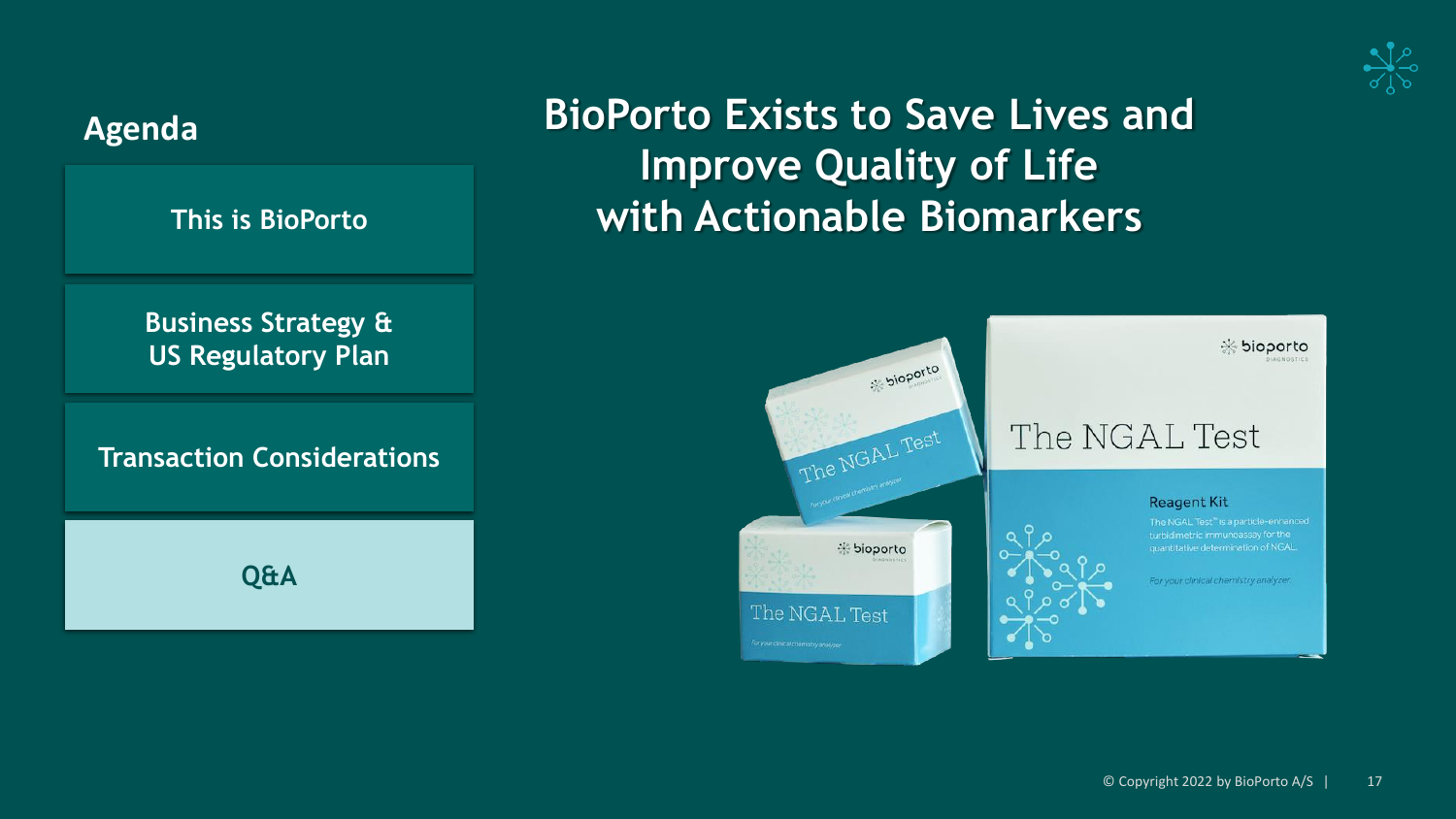





**Improve Quality of Life**